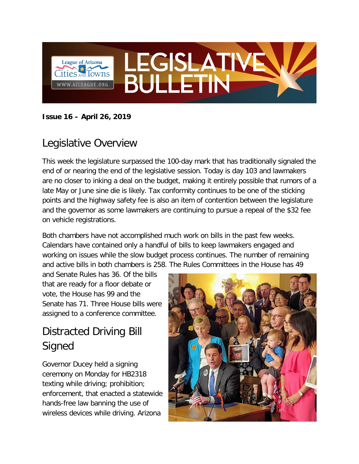

#### **Issue 16 – April 26, 2019**

#### Legislative Overview

This week the legislature surpassed the 100-day mark that has traditionally signaled the end of or nearing the end of the legislative session. Today is day 103 and lawmakers are no closer to inking a deal on the budget, making it entirely possible that rumors of a late May or June sine die is likely. Tax conformity continues to be one of the sticking points and the highway safety fee is also an item of contention between the legislature and the governor as some lawmakers are continuing to pursue a repeal of the \$32 fee on vehicle registrations.

Both chambers have not accomplished much work on bills in the past few weeks. Calendars have contained only a handful of bills to keep lawmakers engaged and working on issues while the slow budget process continues. The number of remaining and active bills in both chambers is 258. The Rules Committees in the House has 49

and Senate Rules has 36. Of the bills that are ready for a floor debate or vote, the House has 99 and the Senate has 71. Three House bills were assigned to a conference committee.

### Distracted Driving Bill **Signed**

Governor Ducey held a signing ceremony on Monday for HB2318 texting while driving; prohibition; enforcement, that enacted a statewide hands-free law banning the use of wireless devices while driving. Arizona

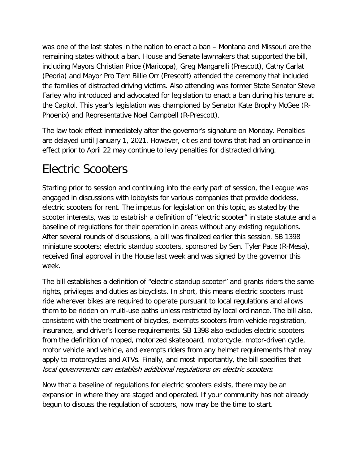was one of the last states in the nation to enact a ban – Montana and Missouri are the remaining states without a ban. House and Senate lawmakers that supported the bill, including Mayors Christian Price (Maricopa), Greg Mangarelli (Prescott), Cathy Carlat (Peoria) and Mayor Pro Tem Billie Orr (Prescott) attended the ceremony that included the families of distracted driving victims. Also attending was former State Senator Steve Farley who introduced and advocated for legislation to enact a ban during his tenure at the Capitol. This year's legislation was championed by Senator Kate Brophy McGee (R-Phoenix) and Representative Noel Campbell (R-Prescott).

The law took effect immediately after the governor's signature on Monday. Penalties are delayed until January 1, 2021. However, cities and towns that had an ordinance in effect prior to April 22 may continue to levy penalties for distracted driving.

## Electric Scooters

Starting prior to session and continuing into the early part of session, the League was engaged in discussions with lobbyists for various companies that provide dockless, electric scooters for rent. The impetus for legislation on this topic, as stated by the scooter interests, was to establish a definition of "electric scooter" in state statute and a baseline of regulations for their operation in areas without any existing regulations. After several rounds of discussions, a bill was finalized earlier this session. SB 1398 miniature scooters; electric standup scooters, sponsored by Sen. Tyler Pace (R-Mesa), received final approval in the House last week and was signed by the governor this week.

The bill establishes a definition of "electric standup scooter" and grants riders the same rights, privileges and duties as bicyclists. In short, this means electric scooters must ride wherever bikes are required to operate pursuant to local regulations and allows them to be ridden on multi-use paths unless restricted by local ordinance. The bill also, consistent with the treatment of bicycles, exempts scooters from vehicle registration, insurance, and driver's license requirements. SB 1398 also excludes electric scooters from the definition of moped, motorized skateboard, motorcycle, motor-driven cycle, motor vehicle and vehicle, and exempts riders from any helmet requirements that may apply to motorcycles and ATVs. Finally, and most importantly, the bill specifies that local governments can establish additional regulations on electric scooters.

Now that a baseline of regulations for electric scooters exists, there may be an expansion in where they are staged and operated. If your community has not already begun to discuss the regulation of scooters, now may be the time to start.